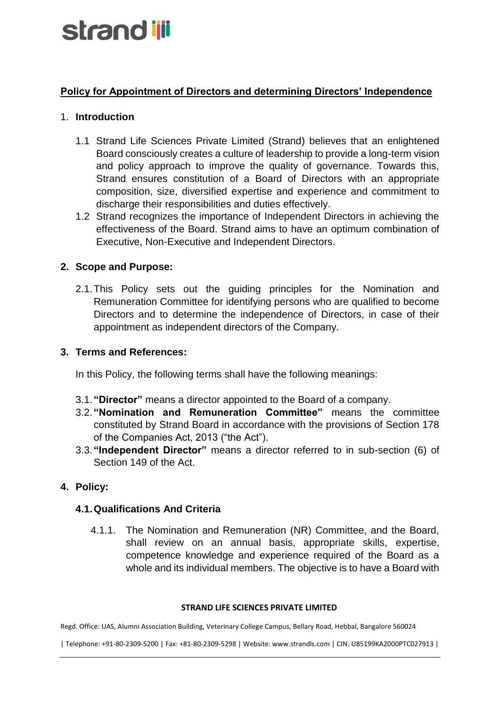# strand ijji

## **Policy for Appointment of Directors and determining Directors' Independence**

## 1. **Introduction**

- 1.1 Strand Life Sciences Private Limited (Strand) believes that an enlightened Board consciously creates a culture of leadership to provide a long-term vision and policy approach to improve the quality of governance. Towards this, Strand ensures constitution of a Board of Directors with an appropriate composition, size, diversified expertise and experience and commitment to discharge their responsibilities and duties effectively.
- 1.2 Strand recognizes the importance of Independent Directors in achieving the effectiveness of the Board. Strand aims to have an optimum combination of Executive, Non-Executive and Independent Directors.

## **2. Scope and Purpose:**

2.1.This Policy sets out the guiding principles for the Nomination and Remuneration Committee for identifying persons who are qualified to become Directors and to determine the independence of Directors, in case of their appointment as independent directors of the Company.

## **3. Terms and References:**

In this Policy, the following terms shall have the following meanings:

- 3.1.**"Director"** means a director appointed to the Board of a company.
- 3.2.**"Nomination and Remuneration Committee"** means the committee constituted by Strand Board in accordance with the provisions of Section 178 of the Companies Act, 2013 ("the Act").
- 3.3.**"Independent Director"** means a director referred to in sub-section (6) of Section 149 of the Act.

## **4. Policy:**

## **4.1.Qualifications And Criteria**

4.1.1. The Nomination and Remuneration (NR) Committee, and the Board, shall review on an annual basis, appropriate skills, expertise, competence knowledge and experience required of the Board as a whole and its individual members. The objective is to have a Board with

#### **STRAND LIFE SCIENCES PRIVATE LIMITED**

Regd. Office: UAS, Alumni Association Building, Veterinary College Campus, Bellary Road, Hebbal, Bangalore 560024

| Telephone: +91-80-2309-5200 | Fax: +81-80-2309-5298 | Website: www.strandls.com | CIN: U85199KA2000PTC027913 |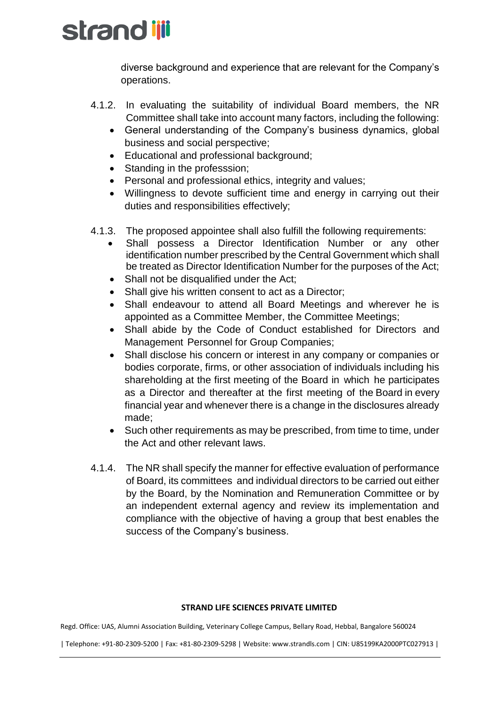## strand iji

diverse background and experience that are relevant for the Company's operations.

- 4.1.2. In evaluating the suitability of individual Board members, the NR Committee shall take into account many factors, including the following:
	- General understanding of the Company's business dynamics, global business and social perspective;
	- Educational and professional background;
	- Standing in the professsion;
	- Personal and professional ethics, integrity and values;
	- Willingness to devote sufficient time and energy in carrying out their duties and responsibilities effectively;
- 4.1.3. The proposed appointee shall also fulfill the following requirements:
	- Shall possess a Director Identification Number or any other identification number prescribed by the Central Government which shall be treated as Director Identification Number for the purposes of the Act;
	- Shall not be disqualified under the Act;
	- Shall give his written consent to act as a Director;
	- Shall endeavour to attend all Board Meetings and wherever he is appointed as a Committee Member, the Committee Meetings;
	- Shall abide by the Code of Conduct established for Directors and Management Personnel for Group Companies;
	- Shall disclose his concern or interest in any company or companies or bodies corporate, firms, or other association of individuals including his shareholding at the first meeting of the Board in which he participates as a Director and thereafter at the first meeting of the Board in every financial year and whenever there is a change in the disclosures already made;
	- Such other requirements as may be prescribed, from time to time, under the Act and other relevant laws.
- 4.1.4. The NR shall specify the manner for effective evaluation of performance of Board, its committees and individual directors to be carried out either by the Board, by the Nomination and Remuneration Committee or by an independent external agency and review its implementation and compliance with the objective of having a group that best enables the success of the Company's business.

#### **STRAND LIFE SCIENCES PRIVATE LIMITED**

Regd. Office: UAS, Alumni Association Building, Veterinary College Campus, Bellary Road, Hebbal, Bangalore 560024

| Telephone: +91-80-2309-5200 | Fax: +81-80-2309-5298 | Website: www.strandls.com | CIN: U85199KA2000PTC027913 |